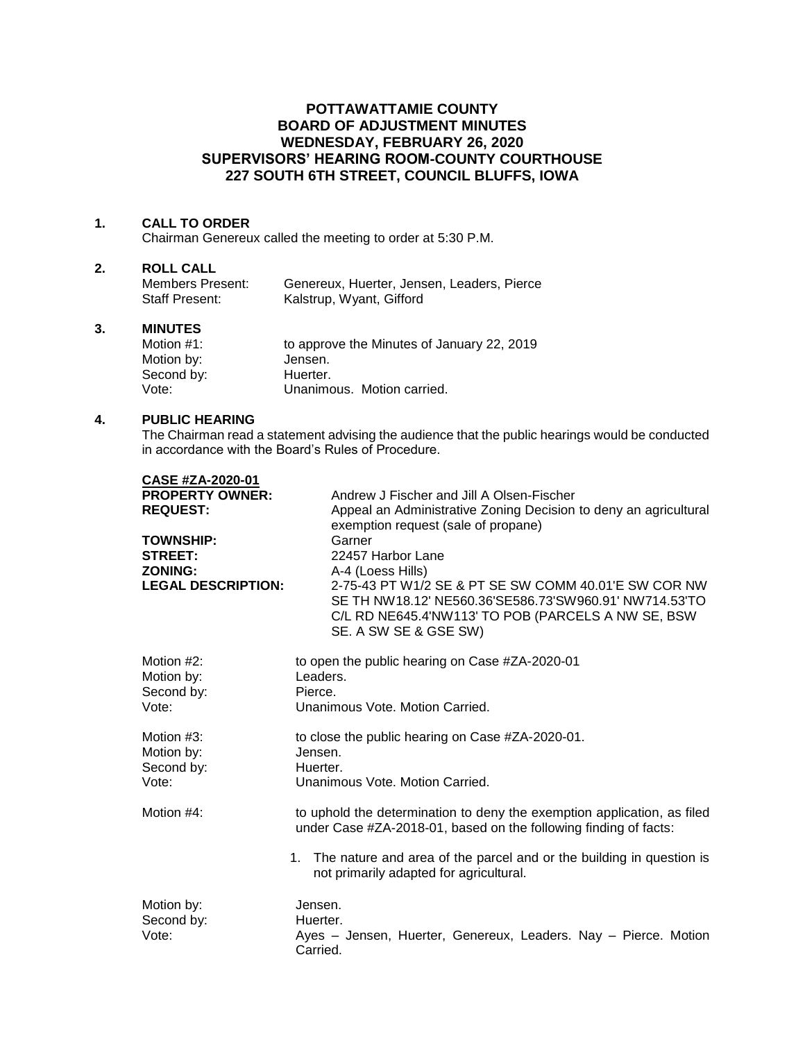# **POTTAWATTAMIE COUNTY BOARD OF ADJUSTMENT MINUTES WEDNESDAY, FEBRUARY 26, 2020 SUPERVISORS' HEARING ROOM-COUNTY COURTHOUSE 227 SOUTH 6TH STREET, COUNCIL BLUFFS, IOWA**

### **1. CALL TO ORDER**

Chairman Genereux called the meeting to order at 5:30 P.M.

### **2. ROLL CALL**

| Members Present: | Genereux, Huerter, Jensen, Leaders, Pierce |
|------------------|--------------------------------------------|
| Staff Present:   | Kalstrup, Wyant, Gifford                   |

## **3. MINUTES**

| Motion $#1$ : | to approve the Minutes of January 22, 2019 |
|---------------|--------------------------------------------|
| Motion by:    | Jensen.                                    |
| Second by:    | Huerter.                                   |
| Vote:         | Unanimous. Motion carried.                 |

#### **4. PUBLIC HEARING**

The Chairman read a statement advising the audience that the public hearings would be conducted in accordance with the Board's Rules of Procedure.

| CASE #ZA-2020-01          |                                                                                                                                                                                               |
|---------------------------|-----------------------------------------------------------------------------------------------------------------------------------------------------------------------------------------------|
| <b>PROPERTY OWNER:</b>    | Andrew J Fischer and Jill A Olsen-Fischer                                                                                                                                                     |
| <b>REQUEST:</b>           | Appeal an Administrative Zoning Decision to deny an agricultural                                                                                                                              |
|                           | exemption request (sale of propane)                                                                                                                                                           |
| <b>TOWNSHIP:</b>          | Garner                                                                                                                                                                                        |
| <b>STREET:</b>            | 22457 Harbor Lane                                                                                                                                                                             |
| <b>ZONING:</b>            | A-4 (Loess Hills)                                                                                                                                                                             |
| <b>LEGAL DESCRIPTION:</b> | 2-75-43 PT W1/2 SE & PT SE SW COMM 40.01'E SW COR NW<br>SE TH NW18.12' NE560.36'SE586.73'SW960.91' NW714.53'TO<br>C/L RD NE645.4'NW113' TO POB (PARCELS A NW SE, BSW<br>SE. A SW SE & GSE SW) |
| Motion #2:                | to open the public hearing on Case #ZA-2020-01                                                                                                                                                |
| Motion by:                | Leaders.                                                                                                                                                                                      |
| Second by:                | Pierce.                                                                                                                                                                                       |
| Vote:                     | Unanimous Vote, Motion Carried.                                                                                                                                                               |
|                           |                                                                                                                                                                                               |
| Motion #3:                | to close the public hearing on Case #ZA-2020-01.                                                                                                                                              |
| Motion by:                | Jensen.                                                                                                                                                                                       |
| Second by:<br>Vote:       | Huerter.<br>Unanimous Vote, Motion Carried.                                                                                                                                                   |
|                           |                                                                                                                                                                                               |
| Motion #4:                | to uphold the determination to deny the exemption application, as filed<br>under Case #ZA-2018-01, based on the following finding of facts:                                                   |
|                           |                                                                                                                                                                                               |
|                           | The nature and area of the parcel and or the building in question is<br>$1_{-}$<br>not primarily adapted for agricultural.                                                                    |
| Motion by:                | Jensen.                                                                                                                                                                                       |
| Second by:                | Huerter.                                                                                                                                                                                      |
| Vote:                     | Ayes - Jensen, Huerter, Genereux, Leaders. Nay - Pierce. Motion                                                                                                                               |
|                           | Carried.                                                                                                                                                                                      |